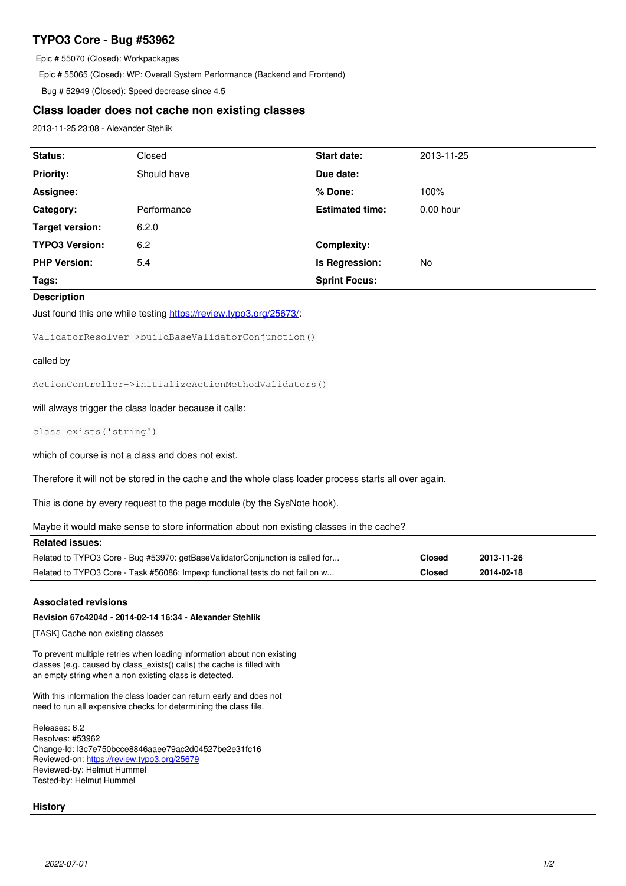# **TYPO3 Core - Bug #53962**

Epic # 55070 (Closed): Workpackages

Epic # 55065 (Closed): WP: Overall System Performance (Backend and Frontend)

Bug # 52949 (Closed): Speed decrease since 4.5

## **Class loader does not cache non existing classes**

2013-11-25 23:08 - Alexander Stehlik

| Status:                                                                                                | Closed      | <b>Start date:</b>     | 2013-11-25    |            |
|--------------------------------------------------------------------------------------------------------|-------------|------------------------|---------------|------------|
| <b>Priority:</b>                                                                                       | Should have | Due date:              |               |            |
| Assignee:                                                                                              |             | % Done:                | 100%          |            |
| Category:                                                                                              | Performance | <b>Estimated time:</b> | 0.00 hour     |            |
| <b>Target version:</b>                                                                                 | 6.2.0       |                        |               |            |
| <b>TYPO3 Version:</b>                                                                                  | 6.2         | <b>Complexity:</b>     |               |            |
| <b>PHP Version:</b>                                                                                    | 5.4         | Is Regression:         | No            |            |
| Tags:                                                                                                  |             | <b>Sprint Focus:</b>   |               |            |
| <b>Description</b>                                                                                     |             |                        |               |            |
| Just found this one while testing https://review.typo3.org/25673/.                                     |             |                        |               |            |
| ValidatorResolver->buildBaseValidatorConjunction()                                                     |             |                        |               |            |
| called by                                                                                              |             |                        |               |            |
| ActionController->initializeActionMethodValidators()                                                   |             |                        |               |            |
| will always trigger the class loader because it calls:                                                 |             |                        |               |            |
| class_exists('string')                                                                                 |             |                        |               |            |
| which of course is not a class and does not exist.                                                     |             |                        |               |            |
| Therefore it will not be stored in the cache and the whole class loader process starts all over again. |             |                        |               |            |
| This is done by every request to the page module (by the SysNote hook).                                |             |                        |               |            |
| Maybe it would make sense to store information about non existing classes in the cache?                |             |                        |               |            |
| <b>Related issues:</b>                                                                                 |             |                        |               |            |
| Related to TYPO3 Core - Bug #53970: getBaseValidatorConjunction is called for                          |             |                        | <b>Closed</b> | 2013-11-26 |
| Related to TYPO3 Core - Task #56086: Impexp functional tests do not fail on w                          |             |                        | <b>Closed</b> | 2014-02-18 |

## **Associated revisions**

**Revision 67c4204d - 2014-02-14 16:34 - Alexander Stehlik**

[TASK] Cache non existing classes

To prevent multiple retries when loading information about non existing classes (e.g. caused by class\_exists() calls) the cache is filled with an empty string when a non existing class is detected.

With this information the class loader can return early and does not need to run all expensive checks for determining the class file.

Releases: 6.2 Resolves: #53962 Change-Id: I3c7e750bcce8846aaee79ac2d04527be2e31fc16 Reviewed-on:<https://review.typo3.org/25679> Reviewed-by: Helmut Hummel Tested-by: Helmut Hummel

## **History**